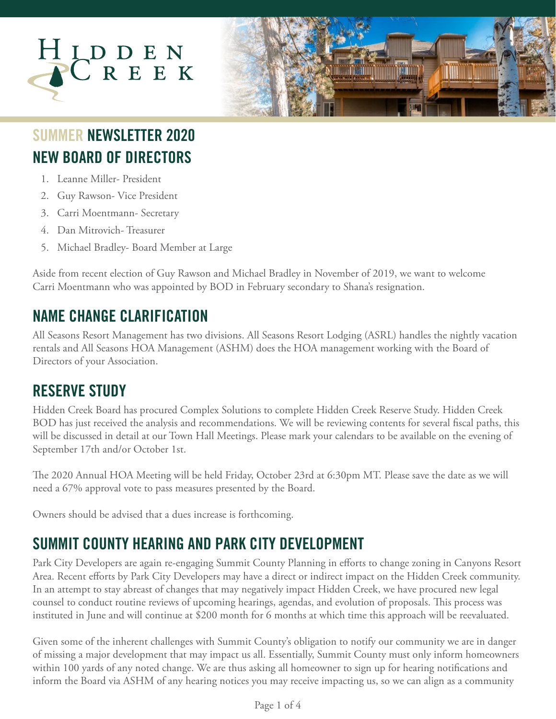



# **NEW BOARD OF DIRECTORS SUMMER NEWSLETTER 2020**

- 1. Leanne Miller- President
- 2. Guy Rawson- Vice President
- 3. Carri Moentmann- Secretary
- 4. Dan Mitrovich- Treasurer
- 5. Michael Bradley- Board Member at Large

Aside from recent election of Guy Rawson and Michael Bradley in November of 2019, we want to welcome Carri Moentmann who was appointed by BOD in February secondary to Shana's resignation.

# **NAME CHANGE CLARIFICATION**

All Seasons Resort Management has two divisions. All Seasons Resort Lodging (ASRL) handles the nightly vacation rentals and All Seasons HOA Management (ASHM) does the HOA management working with the Board of Directors of your Association.

## **RESERVE STUDY**

Hidden Creek Board has procured Complex Solutions to complete Hidden Creek Reserve Study. Hidden Creek BOD has just received the analysis and recommendations. We will be reviewing contents for several fiscal paths, this will be discussed in detail at our Town Hall Meetings. Please mark your calendars to be available on the evening of September 17th and/or October 1st.

The 2020 Annual HOA Meeting will be held Friday, October 23rd at 6:30pm MT. Please save the date as we will need a 67% approval vote to pass measures presented by the Board.

Owners should be advised that a dues increase is forthcoming.

# **SUMMIT COUNTY HEARING AND PARK CITY DEVELOPMENT**

Park City Developers are again re-engaging Summit County Planning in efforts to change zoning in Canyons Resort Area. Recent efforts by Park City Developers may have a direct or indirect impact on the Hidden Creek community. In an attempt to stay abreast of changes that may negatively impact Hidden Creek, we have procured new legal counsel to conduct routine reviews of upcoming hearings, agendas, and evolution of proposals. This process was instituted in June and will continue at \$200 month for 6 months at which time this approach will be reevaluated.

Given some of the inherent challenges with Summit County's obligation to notify our community we are in danger of missing a major development that may impact us all. Essentially, Summit County must only inform homeowners within 100 yards of any noted change. We are thus asking all homeowner to sign up for hearing notifications and inform the Board via ASHM of any hearing notices you may receive impacting us, so we can align as a community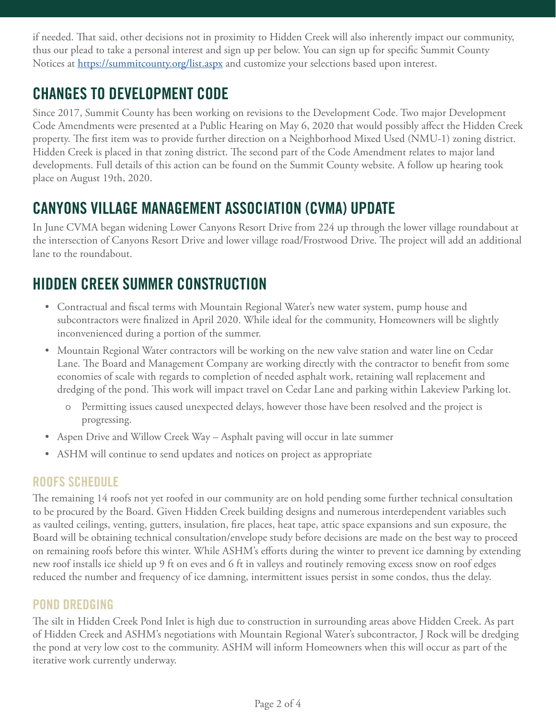if needed. That said, other decisions not in proximity to Hidden Creek will also inherently impact our community, thus our plead to take a personal interest and sign up per below. You can sign up for specific Summit County Notices at <https://summitcounty.org/list.aspx> and customize your selections based upon interest.

## **CHANGES TO DEVELOPMENT CODE**

Since 2017, Summit County has been working on revisions to the Development Code. Two major Development Code Amendments were presented at a Public Hearing on May 6, 2020 that would possibly affect the Hidden Creek property. The first item was to provide further direction on a Neighborhood Mixed Used (NMU-1) zoning district. Hidden Creek is placed in that zoning district. The second part of the Code Amendment relates to major land developments. Full details of this action can be found on the Summit County website. A follow up hearing took place on August 19th, 2020.

### **CANYONS VILLAGE MANAGEMENT ASSOCIATION (CVMA) UPDATE**

In June CVMA began widening Lower Canyons Resort Drive from 224 up through the lower village roundabout at the intersection of Canyons Resort Drive and lower village road/Frostwood Drive. The project will add an additional lane to the roundabout.

## **HIDDEN CREEK SUMMER CONSTRUCTION**

- Contractual and fiscal terms with Mountain Regional Water's new water system, pump house and subcontractors were finalized in April 2020. While ideal for the community, Homeowners will be slightly inconvenienced during a portion of the summer.
- Mountain Regional Water contractors will be working on the new valve station and water line on Cedar Lane. The Board and Management Company are working directly with the contractor to benefit from some economies of scale with regards to completion of needed asphalt work, retaining wall replacement and dredging of the pond. This work will impact travel on Cedar Lane and parking within Lakeview Parking lot.
	- ű Permitting issues caused unexpected delays, however those have been resolved and the project is progressing.
- Aspen Drive and Willow Creek Way Asphalt paving will occur in late summer
- ASHM will continue to send updates and notices on project as appropriate

### **ROOFS SCHEDULE**

The remaining 14 roofs not yet roofed in our community are on hold pending some further technical consultation to be procured by the Board. Given Hidden Creek building designs and numerous interdependent variables such as vaulted ceilings, venting, gutters, insulation, fire places, heat tape, attic space expansions and sun exposure, the Board will be obtaining technical consultation/envelope study before decisions are made on the best way to proceed on remaining roofs before this winter. While ASHM's efforts during the winter to prevent ice damning by extending new roof installs ice shield up 9 ft on eves and 6 ft in valleys and routinely removing excess snow on roof edges reduced the number and frequency of ice damning, intermittent issues persist in some condos, thus the delay.

#### **POND DREDGING**

The silt in Hidden Creek Pond Inlet is high due to construction in surrounding areas above Hidden Creek. As part of Hidden Creek and ASHM's negotiations with Mountain Regional Water's subcontractor, J Rock will be dredging the pond at very low cost to the community. ASHM will inform Homeowners when this will occur as part of the iterative work currently underway.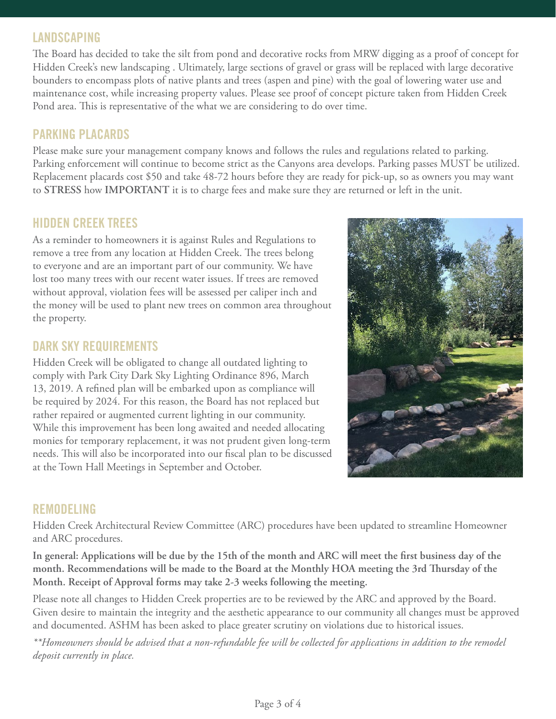#### **LANDSCAPING**

The Board has decided to take the silt from pond and decorative rocks from MRW digging as a proof of concept for Hidden Creek's new landscaping . Ultimately, large sections of gravel or grass will be replaced with large decorative bounders to encompass plots of native plants and trees (aspen and pine) with the goal of lowering water use and maintenance cost, while increasing property values. Please see proof of concept picture taken from Hidden Creek Pond area. This is representative of the what we are considering to do over time.

#### **PARKING PLACARDS**

Please make sure your management company knows and follows the rules and regulations related to parking. Parking enforcement will continue to become strict as the Canyons area develops. Parking passes MUST be utilized. Replacement placards cost \$50 and take 48-72 hours before they are ready for pick-up, so as owners you may want to **STRESS** how **IMPORTANT** it is to charge fees and make sure they are returned or left in the unit.

#### **HIDDEN CREEK TREES**

As a reminder to homeowners it is against Rules and Regulations to remove a tree from any location at Hidden Creek. The trees belong to everyone and are an important part of our community. We have lost too many trees with our recent water issues. If trees are removed without approval, violation fees will be assessed per caliper inch and the money will be used to plant new trees on common area throughout the property.

#### **DARK SKY REQUIREMENTS**

Hidden Creek will be obligated to change all outdated lighting to comply with Park City Dark Sky Lighting Ordinance 896, March 13, 2019. A refined plan will be embarked upon as compliance will be required by 2024. For this reason, the Board has not replaced but rather repaired or augmented current lighting in our community. While this improvement has been long awaited and needed allocating monies for temporary replacement, it was not prudent given long-term needs. This will also be incorporated into our fiscal plan to be discussed at the Town Hall Meetings in September and October.



#### **REMODELING**

Hidden Creek Architectural Review Committee (ARC) procedures have been updated to streamline Homeowner and ARC procedures.

**In general: Applications will be due by the 15th of the month and ARC will meet the first business day of the month. Recommendations will be made to the Board at the Monthly HOA meeting the 3rd Thursday of the Month. Receipt of Approval forms may take 2-3 weeks following the meeting.**

Please note all changes to Hidden Creek properties are to be reviewed by the ARC and approved by the Board. Given desire to maintain the integrity and the aesthetic appearance to our community all changes must be approved and documented. ASHM has been asked to place greater scrutiny on violations due to historical issues.

*\*\*Homeowners should be advised that a non-refundable fee will be collected for applications in addition to the remodel deposit currently in place.*